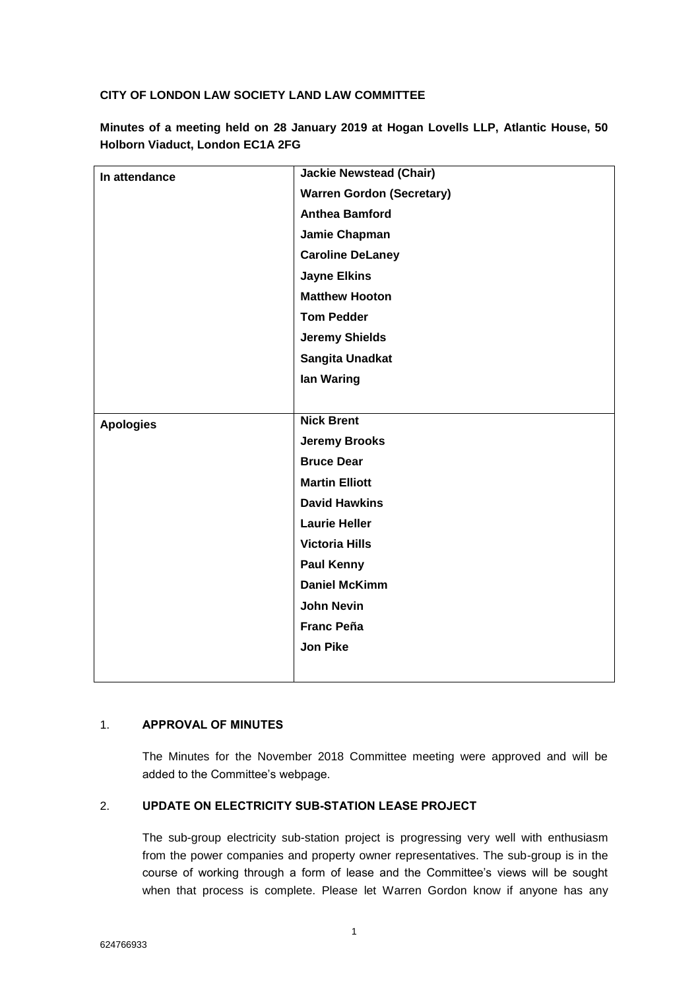### **CITY OF LONDON LAW SOCIETY LAND LAW COMMITTEE**

**Minutes of a meeting held on 28 January 2019 at Hogan Lovells LLP, Atlantic House, 50 Holborn Viaduct, London EC1A 2FG**

| In attendance    | <b>Jackie Newstead (Chair)</b>   |
|------------------|----------------------------------|
|                  | <b>Warren Gordon (Secretary)</b> |
|                  | <b>Anthea Bamford</b>            |
|                  | Jamie Chapman                    |
|                  | <b>Caroline DeLaney</b>          |
|                  | <b>Jayne Elkins</b>              |
|                  | <b>Matthew Hooton</b>            |
|                  | <b>Tom Pedder</b>                |
|                  | <b>Jeremy Shields</b>            |
|                  | Sangita Unadkat                  |
|                  | lan Waring                       |
|                  |                                  |
| <b>Apologies</b> | <b>Nick Brent</b>                |
|                  | <b>Jeremy Brooks</b>             |
|                  | <b>Bruce Dear</b>                |
|                  | <b>Martin Elliott</b>            |
|                  | <b>David Hawkins</b>             |
|                  | <b>Laurie Heller</b>             |
|                  | <b>Victoria Hills</b>            |
|                  | <b>Paul Kenny</b>                |
|                  | <b>Daniel McKimm</b>             |
|                  | <b>John Nevin</b>                |
|                  | <b>Franc Peña</b>                |
|                  | <b>Jon Pike</b>                  |
|                  |                                  |

### 1. **APPROVAL OF MINUTES**

The Minutes for the November 2018 Committee meeting were approved and will be added to the Committee's webpage.

### 2. **UPDATE ON ELECTRICITY SUB-STATION LEASE PROJECT**

The sub-group electricity sub-station project is progressing very well with enthusiasm from the power companies and property owner representatives. The sub-group is in the course of working through a form of lease and the Committee's views will be sought when that process is complete. Please let Warren Gordon know if anyone has any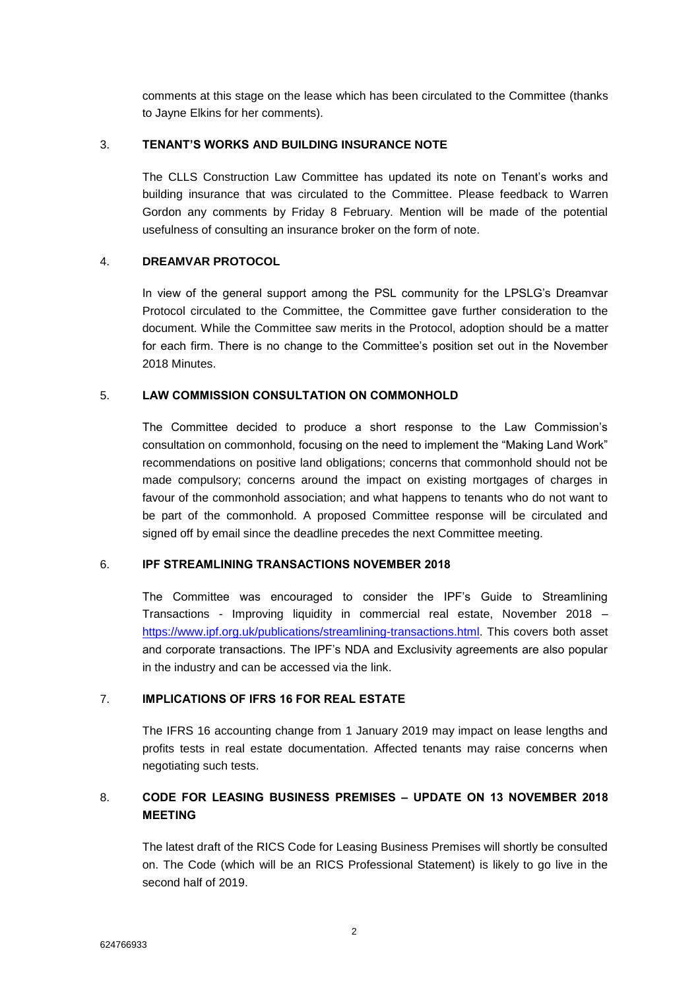comments at this stage on the lease which has been circulated to the Committee (thanks to Jayne Elkins for her comments).

### 3. **TENANT'S WORKS AND BUILDING INSURANCE NOTE**

The CLLS Construction Law Committee has updated its note on Tenant's works and building insurance that was circulated to the Committee. Please feedback to Warren Gordon any comments by Friday 8 February. Mention will be made of the potential usefulness of consulting an insurance broker on the form of note.

### 4. **DREAMVAR PROTOCOL**

In view of the general support among the PSL community for the LPSLG's Dreamvar Protocol circulated to the Committee, the Committee gave further consideration to the document. While the Committee saw merits in the Protocol, adoption should be a matter for each firm. There is no change to the Committee's position set out in the November 2018 Minutes.

#### 5. **LAW COMMISSION CONSULTATION ON COMMONHOLD**

The Committee decided to produce a short response to the Law Commission's consultation on commonhold, focusing on the need to implement the "Making Land Work" recommendations on positive land obligations; concerns that commonhold should not be made compulsory; concerns around the impact on existing mortgages of charges in favour of the commonhold association; and what happens to tenants who do not want to be part of the commonhold. A proposed Committee response will be circulated and signed off by email since the deadline precedes the next Committee meeting.

### 6. **IPF STREAMLINING TRANSACTIONS NOVEMBER 2018**

The Committee was encouraged to consider the IPF's Guide to Streamlining Transactions - Improving liquidity in commercial real estate, November 2018 – [https://www.ipf.org.uk/publications/streamlining-transactions.html.](https://www.ipf.org.uk/publications/streamlining-transactions.html) This covers both asset and corporate transactions. The IPF's NDA and Exclusivity agreements are also popular in the industry and can be accessed via the link.

### 7. **IMPLICATIONS OF IFRS 16 FOR REAL ESTATE**

The IFRS 16 accounting change from 1 January 2019 may impact on lease lengths and profits tests in real estate documentation. Affected tenants may raise concerns when negotiating such tests.

## 8. **CODE FOR LEASING BUSINESS PREMISES – UPDATE ON 13 NOVEMBER 2018 MEETING**

The latest draft of the RICS Code for Leasing Business Premises will shortly be consulted on. The Code (which will be an RICS Professional Statement) is likely to go live in the second half of 2019.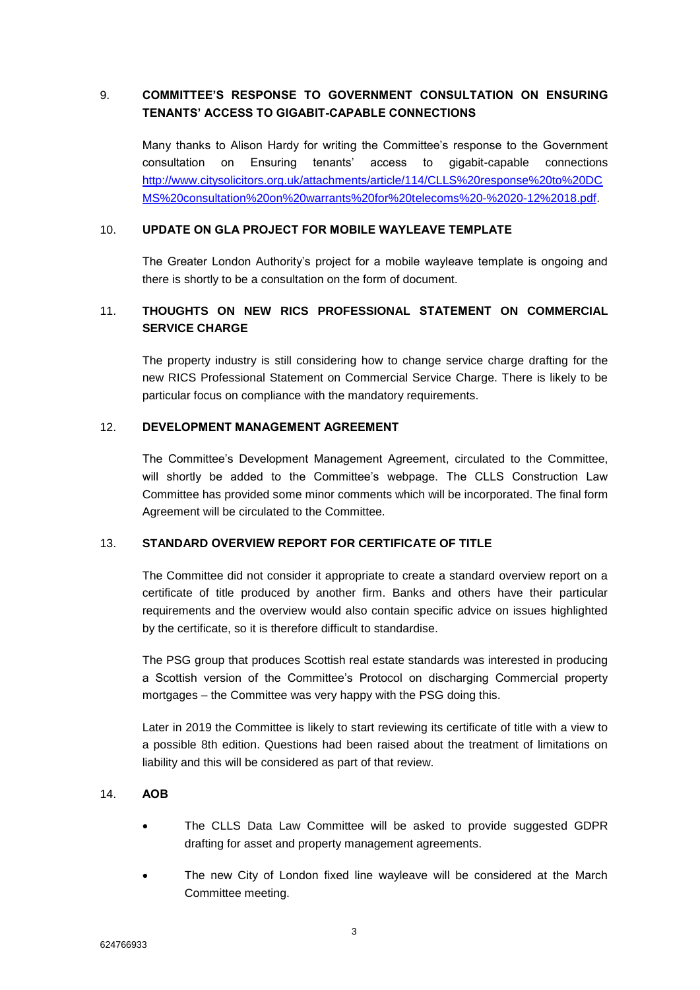# 9. **COMMITTEE'S RESPONSE TO GOVERNMENT CONSULTATION ON ENSURING TENANTS' ACCESS TO GIGABIT-CAPABLE CONNECTIONS**

Many thanks to Alison Hardy for writing the Committee's response to the Government consultation on Ensuring tenants' access to gigabit-capable connections [http://www.citysolicitors.org.uk/attachments/article/114/CLLS%20response%20to%20DC](http://www.citysolicitors.org.uk/attachments/article/114/CLLS%20response%20to%20DCMS%20consultation%20on%20warrants%20for%20telecoms%20-%2020-12%2018.pdf) [MS%20consultation%20on%20warrants%20for%20telecoms%20-%2020-12%2018.pdf.](http://www.citysolicitors.org.uk/attachments/article/114/CLLS%20response%20to%20DCMS%20consultation%20on%20warrants%20for%20telecoms%20-%2020-12%2018.pdf)

### 10. **UPDATE ON GLA PROJECT FOR MOBILE WAYLEAVE TEMPLATE**

The Greater London Authority's project for a mobile wayleave template is ongoing and there is shortly to be a consultation on the form of document.

## 11. **THOUGHTS ON NEW RICS PROFESSIONAL STATEMENT ON COMMERCIAL SERVICE CHARGE**

The property industry is still considering how to change service charge drafting for the new RICS Professional Statement on Commercial Service Charge. There is likely to be particular focus on compliance with the mandatory requirements.

### 12. **DEVELOPMENT MANAGEMENT AGREEMENT**

The Committee's Development Management Agreement, circulated to the Committee, will shortly be added to the Committee's webpage. The CLLS Construction Law Committee has provided some minor comments which will be incorporated. The final form Agreement will be circulated to the Committee.

### 13. **STANDARD OVERVIEW REPORT FOR CERTIFICATE OF TITLE**

The Committee did not consider it appropriate to create a standard overview report on a certificate of title produced by another firm. Banks and others have their particular requirements and the overview would also contain specific advice on issues highlighted by the certificate, so it is therefore difficult to standardise.

The PSG group that produces Scottish real estate standards was interested in producing a Scottish version of the Committee's Protocol on discharging Commercial property mortgages – the Committee was very happy with the PSG doing this.

Later in 2019 the Committee is likely to start reviewing its certificate of title with a view to a possible 8th edition. Questions had been raised about the treatment of limitations on liability and this will be considered as part of that review.

### 14. **AOB**

- The CLLS Data Law Committee will be asked to provide suggested GDPR drafting for asset and property management agreements.
- The new City of London fixed line wayleave will be considered at the March Committee meeting.